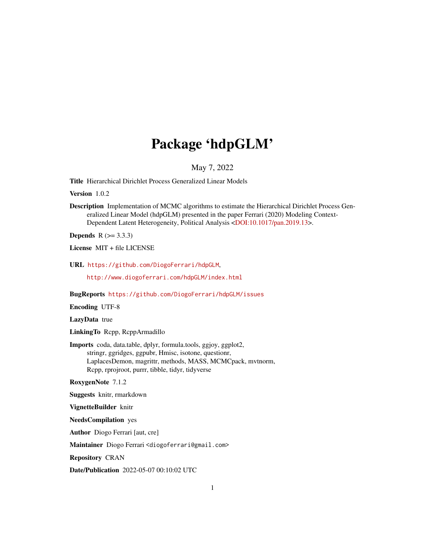# Package 'hdpGLM'

#### May 7, 2022

<span id="page-0-0"></span>Title Hierarchical Dirichlet Process Generalized Linear Models

Version 1.0.2

Description Implementation of MCMC algorithms to estimate the Hierarchical Dirichlet Process Generalized Linear Model (hdpGLM) presented in the paper Ferrari (2020) Modeling Context-Dependent Latent Heterogeneity, Political Analysis [<DOI:10.1017/pan.2019.13>](https://doi.org/10.1017/pan.2019.13).

**Depends** R  $(>= 3.3.3)$ 

License MIT + file LICENSE

URL <https://github.com/DiogoFerrari/hdpGLM>,

<http://www.diogoferrari.com/hdpGLM/index.html>

BugReports <https://github.com/DiogoFerrari/hdpGLM/issues>

Encoding UTF-8

LazyData true

LinkingTo Rcpp, RcppArmadillo

Imports coda, data.table, dplyr, formula.tools, ggjoy, ggplot2, stringr, ggridges, ggpubr, Hmisc, isotone, questionr, LaplacesDemon, magrittr, methods, MASS, MCMCpack, mvtnorm, Rcpp, rprojroot, purrr, tibble, tidyr, tidyverse

RoxygenNote 7.1.2

Suggests knitr, rmarkdown

VignetteBuilder knitr

NeedsCompilation yes

Author Diogo Ferrari [aut, cre]

Maintainer Diogo Ferrari <diogoferrari@gmail.com>

Repository CRAN

Date/Publication 2022-05-07 00:10:02 UTC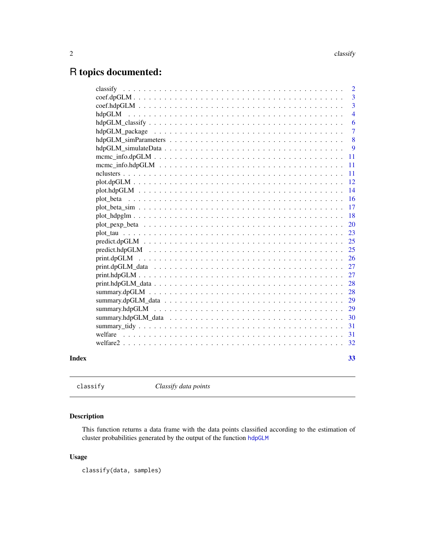## <span id="page-1-0"></span>R topics documented:

|  | $\overline{2}$ |
|--|----------------|
|  | $\overline{3}$ |
|  | $\overline{3}$ |
|  | $\overline{4}$ |
|  | 6              |
|  | $\overline{7}$ |
|  | 8              |
|  | 9              |
|  | 11             |
|  | 11             |
|  | 11             |
|  | 12             |
|  | 14             |
|  | 16             |
|  | 17             |
|  | 18             |
|  | 20             |
|  | 23             |
|  | 25             |
|  | 25             |
|  | 26             |
|  | 27             |
|  | 27             |
|  | 28             |
|  | 28             |
|  | 29             |
|  | 29             |
|  | 30             |
|  | 31             |
|  | 31             |
|  | 32             |
|  | 33             |
|  |                |

classify *Classify data points*

#### Description

This function returns a data frame with the data points classified according to the estimation of cluster probabilities generated by the output of the function [hdpGLM](#page-3-1)

#### Usage

classify(data, samples)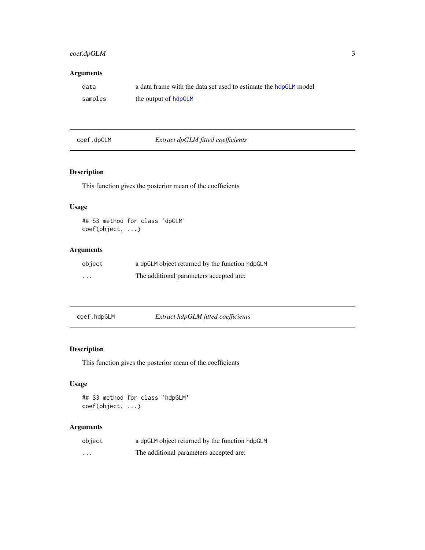#### <span id="page-2-0"></span>coef.dpGLM 3

#### Arguments

| data    | a data frame with the data set used to estimate the hdpGLM model |
|---------|------------------------------------------------------------------|
| samples | the output of hdpGLM                                             |

#### coef.dpGLM *Extract dpGLM fitted coefficients*

#### Description

This function gives the posterior mean of the coefficients

#### Usage

```
## S3 method for class 'dpGLM'
coef(object, ...)
```
#### Arguments

| object   | a dpGLM object returned by the function hdpGLM |
|----------|------------------------------------------------|
| $\cdots$ | The additional parameters accepted are:        |

| coef.hdpGLM | Extract hdpGLM fitted coefficients |
|-------------|------------------------------------|
|-------------|------------------------------------|

#### Description

This function gives the posterior mean of the coefficients

#### Usage

```
## S3 method for class 'hdpGLM'
coef(object, ...)
```

| object  | a dpGLM object returned by the function hdpGLM |
|---------|------------------------------------------------|
| $\cdot$ | The additional parameters accepted are:        |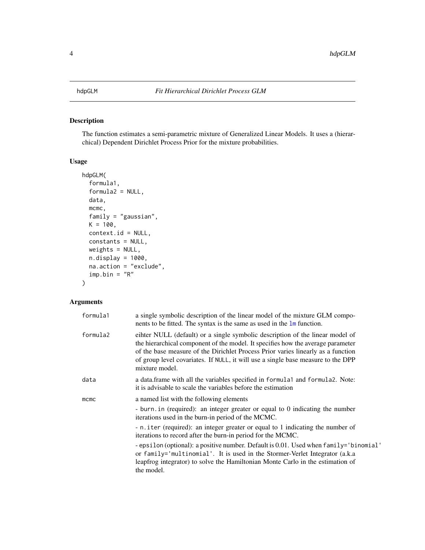#### <span id="page-3-1"></span><span id="page-3-0"></span>Description

The function estimates a semi-parametric mixture of Generalized Linear Models. It uses a (hierarchical) Dependent Dirichlet Process Prior for the mixture probabilities.

#### Usage

```
hdpGLM(
  formula1,
  formula2 = NULL,
  data,
 mcmc,
  family = "gaussian",
 K = 100,context.id = NULL,
  constants = NULL,
 weights = NULL,
 n.display = 1000,
 na.action = "exclude",
  imp.bin = "R")
```

| formula1 | a single symbolic description of the linear model of the mixture GLM compo-<br>nents to be fitted. The syntax is the same as used in the $\text{Im}$ function.                                                                                                                                                                                             |
|----------|------------------------------------------------------------------------------------------------------------------------------------------------------------------------------------------------------------------------------------------------------------------------------------------------------------------------------------------------------------|
| formula2 | eihter NULL (default) or a single symbolic description of the linear model of<br>the hierarchical component of the model. It specifies how the average parameter<br>of the base measure of the Dirichlet Process Prior varies linearly as a function<br>of group level covariates. If NULL, it will use a single base measure to the DPP<br>mixture model. |
| data     | a data.frame with all the variables specified in formula1 and formula2. Note:<br>it is advisable to scale the variables before the estimation                                                                                                                                                                                                              |
| mcmc     | a named list with the following elements<br>- burn. in (required): an integer greater or equal to $0$ indicating the number<br>iterations used in the burn-in period of the MCMC.<br>- n. iter (required): an integer greater or equal to 1 indicating the number of<br>iterations to record after the burn-in period for the MCMC.                        |
|          | - epsilon (optional): a positive number. Default is 0.01. Used when family='binomial'<br>or family='multinomial'. It is used in the Stormer-Verlet Integrator (a.k.a<br>leapfrog integrator) to solve the Hamiltonian Monte Carlo in the estimation of<br>the model.                                                                                       |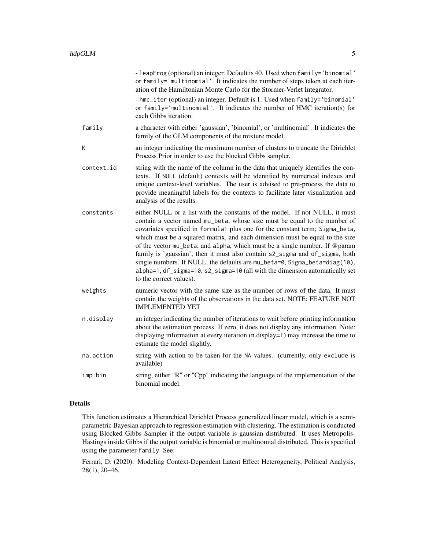|            | - leapFrog (optional) an integer. Default is 40. Used when family='binomial'<br>or family='multinomial'. It indicates the number of steps taken at each iter-<br>ation of the Hamiltonian Monte Carlo for the Stormer-Verlet Integrator.<br>- hmc_iter (optional) an integer. Default is 1. Used when family='binomial'<br>or family='multinomial'. It indicates the number of HMC iteration(s) for<br>each Gibbs iteration.                                                                                                                                                                                                                                                 |
|------------|------------------------------------------------------------------------------------------------------------------------------------------------------------------------------------------------------------------------------------------------------------------------------------------------------------------------------------------------------------------------------------------------------------------------------------------------------------------------------------------------------------------------------------------------------------------------------------------------------------------------------------------------------------------------------|
| family     | a character with either 'gaussian', 'binomial', or 'multinomial'. It indicates the<br>family of the GLM components of the mixture model.                                                                                                                                                                                                                                                                                                                                                                                                                                                                                                                                     |
| К          | an integer indicating the maximum number of clusters to truncate the Dirichlet<br>Process Prior in order to use the blocked Gibbs sampler.                                                                                                                                                                                                                                                                                                                                                                                                                                                                                                                                   |
| context.id | string with the name of the column in the data that uniquely identifies the con-<br>texts. If NULL (default) contexts will be identified by numerical indexes and<br>unique context-level variables. The user is advised to pre-process the data to<br>provide meaningful labels for the contexts to facilitate later visualization and<br>analysis of the results.                                                                                                                                                                                                                                                                                                          |
| constants  | either NULL or a list with the constants of the model. If not NULL, it must<br>contain a vector named mu_beta, whose size must be equal to the number of<br>covariates specified in formula1 plus one for the constant term; Sigma_beta,<br>which must be a squared matrix, and each dimension must be equal to the size<br>of the vector mu_beta; and alpha, which must be a single number. If @param<br>family is 'gaussian', then it must also contain s2_sigma and df_sigma, both<br>single numbers. If NULL, the defaults are mu_beta=0, Sigma_beta=diag(10),<br>alpha=1, df_sigma=10, s2_sigma=10 (all with the dimension automatically set<br>to the correct values). |
| weights    | numeric vector with the same size as the number of rows of the data. It must<br>contain the weights of the observations in the data set. NOTE: FEATURE NOT<br><b>IMPLEMENTED YET</b>                                                                                                                                                                                                                                                                                                                                                                                                                                                                                         |
| n.display  | an integer indicating the number of iterations to wait before printing information<br>about the estimation process. If zero, it does not display any information. Note:<br>displaying informaiton at every iteration (n.display=1) may increase the time to<br>estimate the model slightly.                                                                                                                                                                                                                                                                                                                                                                                  |
| na.action  | string with action to be taken for the NA values. (currently, only exclude is<br>available)                                                                                                                                                                                                                                                                                                                                                                                                                                                                                                                                                                                  |
| imp.bin    | string, either "R" or "Cpp" indicating the language of the implementation of the<br>binomial model.                                                                                                                                                                                                                                                                                                                                                                                                                                                                                                                                                                          |

#### Details

This function estimates a Hierarchical Dirichlet Process generalized linear model, which is a semiparametric Bayesian approach to regression estimation with clustering. The estimation is conducted using Blocked Gibbs Sampler if the output variable is gaussian distributed. It uses Metropolis-Hastings inside Gibbs if the output variable is binomial or multinomial distributed. This is specified using the parameter family. See:

Ferrari, D. (2020). Modeling Context-Dependent Latent Effect Heterogeneity, Political Analysis, 28(1), 20–46.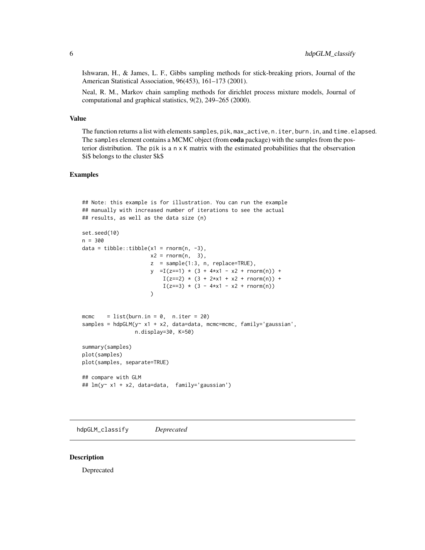<span id="page-5-0"></span>Ishwaran, H., & James, L. F., Gibbs sampling methods for stick-breaking priors, Journal of the American Statistical Association, 96(453), 161–173 (2001).

Neal, R. M., Markov chain sampling methods for dirichlet process mixture models, Journal of computational and graphical statistics, 9(2), 249–265 (2000).

#### Value

The function returns a list with elements samples, pik, max\_active, n.iter, burn.in, and time.elapsed. The samples element contains a MCMC object (from coda package) with the samples from the posterior distribution. The pik is a n x K matrix with the estimated probabilities that the observation \$i\$ belongs to the cluster \$k\$

#### Examples

```
## Note: this example is for illustration. You can run the example
## manually with increased number of iterations to see the actual
## results, as well as the data size (n)
set.seed(10)
n = 300
data = tibble::tibble(x1 = rnorm(n, -3),
                      x2 = rnorm(n, 3),
                      z = sample(1:3, n, replace=TRUE),
                      y = I(z=1) * (3 + 4*x1 - x2 + rnorm(n)) +I(z==2) * (3 + 2*x1 + x2 + \text{norm}(n)) +I(z==3) * (3 - 4*x1 - x2 + rnorm(n)))
mcmc = list(burn.in = 0, n.iter = 20)samples = hdpGLM(y \sim x1 + x2, data=data, mcmc=mcmc, family='gaussian',
                 n.display=30, K=50)
summary(samples)
plot(samples)
plot(samples, separate=TRUE)
## compare with GLM
## lm(y~ x1 + x2, data=data, family='gaussian')
```
hdpGLM\_classify *Deprecated*

#### Description

Deprecated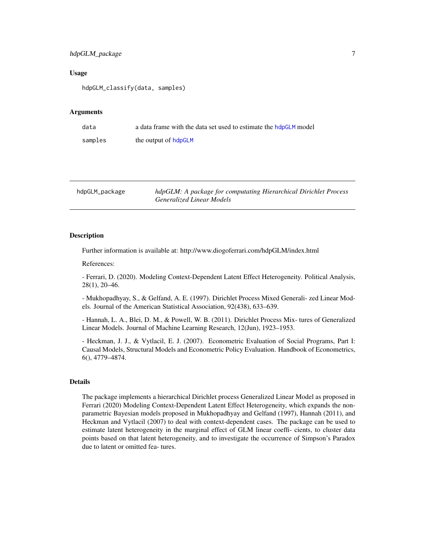#### <span id="page-6-0"></span>hdpGLM\_package 7

#### Usage

hdpGLM\_classify(data, samples)

#### Arguments

| data    | a data frame with the data set used to estimate the hdpGLM model |
|---------|------------------------------------------------------------------|
| samples | the output of hdpGLM                                             |

hdpGLM\_package *hdpGLM: A package for computating Hierarchical Dirichlet Process Generalized Linear Models*

#### Description

Further information is available at: http://www.diogoferrari.com/hdpGLM/index.html

References:

- Ferrari, D. (2020). Modeling Context-Dependent Latent Effect Heterogeneity. Political Analysis, 28(1), 20–46.

- Mukhopadhyay, S., & Gelfand, A. E. (1997). Dirichlet Process Mixed Generali- zed Linear Models. Journal of the American Statistical Association, 92(438), 633–639.

- Hannah, L. A., Blei, D. M., & Powell, W. B. (2011). Dirichlet Process Mix- tures of Generalized Linear Models. Journal of Machine Learning Research, 12(Jun), 1923–1953.

- Heckman, J. J., & Vytlacil, E. J. (2007). Econometric Evaluation of Social Programs, Part I: Causal Models, Structural Models and Econometric Policy Evaluation. Handbook of Econometrics, 6(), 4779–4874.

#### Details

The package implements a hierarchical Dirichlet process Generalized Linear Model as proposed in Ferrari (2020) Modeling Context-Dependent Latent Effect Heterogeneity, which expands the nonparametric Bayesian models proposed in Mukhopadhyay and Gelfand (1997), Hannah (2011), and Heckman and Vytlacil (2007) to deal with context-dependent cases. The package can be used to estimate latent heterogeneity in the marginal effect of GLM linear coeffi- cients, to cluster data points based on that latent heterogeneity, and to investigate the occurrence of Simpson's Paradox due to latent or omitted fea- tures.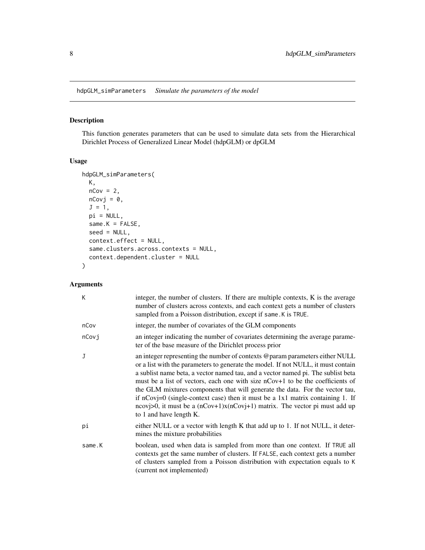<span id="page-7-0"></span>hdpGLM\_simParameters *Simulate the parameters of the model*

#### Description

This function generates parameters that can be used to simulate data sets from the Hierarchical Dirichlet Process of Generalized Linear Model (hdpGLM) or dpGLM

#### Usage

```
hdpGLM_simParameters(
 K,
 nCov = 2,
 nCovj = 0,
  J = 1,pi = NULL,same.K = FALSE,
  seed = NULL,
  context.effect = NULL,
  same.clusters.across.contexts = NULL,
  context.dependent.cluster = NULL
)
```

| K      | integer, the number of clusters. If there are multiple contexts, K is the average<br>number of clusters across contexts, and each context gets a number of clusters<br>sampled from a Poisson distribution, except if same. K is TRUE.                                                                                                                                                                                                                                                                                                                                                                                |
|--------|-----------------------------------------------------------------------------------------------------------------------------------------------------------------------------------------------------------------------------------------------------------------------------------------------------------------------------------------------------------------------------------------------------------------------------------------------------------------------------------------------------------------------------------------------------------------------------------------------------------------------|
| nCov   | integer, the number of covariates of the GLM components                                                                                                                                                                                                                                                                                                                                                                                                                                                                                                                                                               |
| nCovj  | an integer indicating the number of covariates determining the average parame-<br>ter of the base measure of the Dirichlet process prior                                                                                                                                                                                                                                                                                                                                                                                                                                                                              |
| J      | an integer representing the number of contexts @param parameters either NULL<br>or a list with the parameters to generate the model. If not NULL, it must contain<br>a sublist name beta, a vector named tau, and a vector named pi. The sublist beta<br>must be a list of vectors, each one with size nCov+1 to be the coefficients of<br>the GLM mixtures components that will generate the data. For the vector tau,<br>if $nCovj=0$ (single-context case) then it must be a 1x1 matrix containing 1. If<br>ncovj>0, it must be a $(nCov+1)x(nCov+1)$ matrix. The vector pi must add up<br>to 1 and have length K. |
| рi     | either NULL or a vector with length K that add up to 1. If not NULL, it deter-<br>mines the mixture probabilities                                                                                                                                                                                                                                                                                                                                                                                                                                                                                                     |
| same.K | boolean, used when data is sampled from more than one context. If TRUE all<br>contexts get the same number of clusters. If FALSE, each context gets a number<br>of clusters sampled from a Poisson distribution with expectation equals to K<br>(current not implemented)                                                                                                                                                                                                                                                                                                                                             |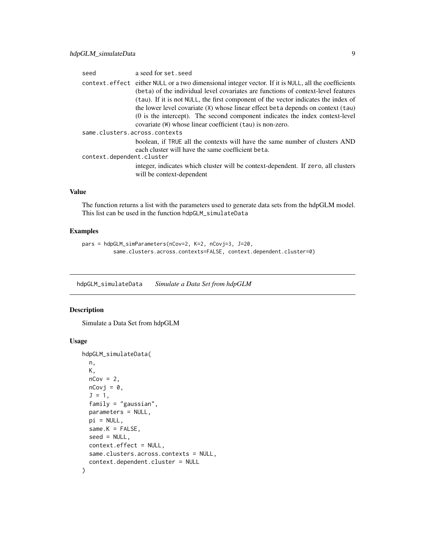<span id="page-8-0"></span>

| seed                          | a seed for set, seed                                                                                                                                                                                                                                                                                                                                                                                                                                                                                           |
|-------------------------------|----------------------------------------------------------------------------------------------------------------------------------------------------------------------------------------------------------------------------------------------------------------------------------------------------------------------------------------------------------------------------------------------------------------------------------------------------------------------------------------------------------------|
|                               | context.effect either NULL or a two dimensional integer vector. If it is NULL, all the coefficients<br>(beta) of the individual level covariates are functions of context-level features<br>(tau). If it is not NULL, the first component of the vector indicates the index of<br>the lower level covariate (X) whose linear effect beta depends on context (tau)<br>(0 is the intercept). The second component indicates the index context-level<br>covariate (W) whose linear coefficient (tau) is non-zero. |
| same.clusters.across.contexts |                                                                                                                                                                                                                                                                                                                                                                                                                                                                                                                |
|                               | boolean, if TRUE all the contexts will have the same number of clusters AND<br>each cluster will have the same coefficient beta.                                                                                                                                                                                                                                                                                                                                                                               |
| context.dependent.cluster     |                                                                                                                                                                                                                                                                                                                                                                                                                                                                                                                |
|                               | integer, indicates which cluster will be context-dependent. If zero, all clusters<br>will be context-dependent                                                                                                                                                                                                                                                                                                                                                                                                 |

#### Value

The function returns a list with the parameters used to generate data sets from the hdpGLM model. This list can be used in the function hdpGLM\_simulateData

#### Examples

```
pars = hdpGLM_simParameters(nCov=2, K=2, nCovj=3, J=20,
          same.clusters.across.contexts=FALSE, context.dependent.cluster=0)
```
hdpGLM\_simulateData *Simulate a Data Set from hdpGLM*

#### Description

Simulate a Data Set from hdpGLM

#### Usage

```
hdpGLM_simulateData(
 n,
 K,
 nCov = 2,
 nCovj = 0,
  J = 1,family = "gaussian",
 parameters = NULL,
 pi = NULL,
  same.K = FALSE,
  seed = NULL,
  context.effect = NULL,
  same.clusters.across.contexts = NULL,
  context.dependent.cluster = NULL
)
```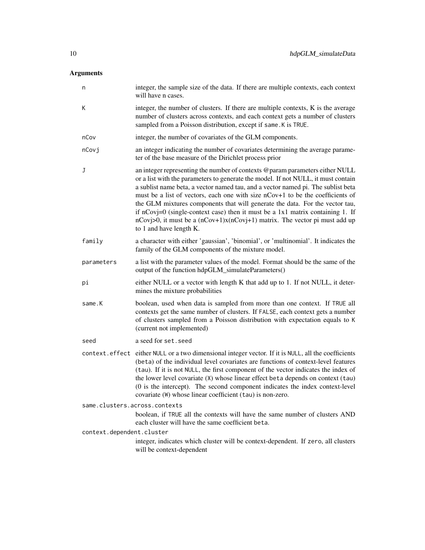| n                             | integer, the sample size of the data. If there are multiple contexts, each context<br>will have n cases.                                                                                                                                                                                                                                                                                                                                                                                                                                                                                                                  |  |
|-------------------------------|---------------------------------------------------------------------------------------------------------------------------------------------------------------------------------------------------------------------------------------------------------------------------------------------------------------------------------------------------------------------------------------------------------------------------------------------------------------------------------------------------------------------------------------------------------------------------------------------------------------------------|--|
| Κ                             | integer, the number of clusters. If there are multiple contexts, K is the average<br>number of clusters across contexts, and each context gets a number of clusters<br>sampled from a Poisson distribution, except if same. K is TRUE.                                                                                                                                                                                                                                                                                                                                                                                    |  |
| nCov                          | integer, the number of covariates of the GLM components.                                                                                                                                                                                                                                                                                                                                                                                                                                                                                                                                                                  |  |
| nCovj                         | an integer indicating the number of covariates determining the average parame-<br>ter of the base measure of the Dirichlet process prior                                                                                                                                                                                                                                                                                                                                                                                                                                                                                  |  |
| J                             | an integer representing the number of contexts @param parameters either NULL<br>or a list with the parameters to generate the model. If not NULL, it must contain<br>a sublist name beta, a vector named tau, and a vector named pi. The sublist beta<br>must be a list of vectors, each one with size nCov+1 to be the coefficients of<br>the GLM mixtures components that will generate the data. For the vector tau,<br>if $nCovj=0$ (single-context case) then it must be a 1x1 matrix containing 1. If<br>$nCovj>0$ , it must be a $(nCov+1)x(nCovj+1)$ matrix. The vector pi must add up<br>to 1 and have length K. |  |
| family                        | a character with either 'gaussian', 'binomial', or 'multinomial'. It indicates the<br>family of the GLM components of the mixture model.                                                                                                                                                                                                                                                                                                                                                                                                                                                                                  |  |
| parameters                    | a list with the parameter values of the model. Format should be the same of the<br>output of the function hdpGLM_simulateParameters()                                                                                                                                                                                                                                                                                                                                                                                                                                                                                     |  |
| рi                            | either NULL or a vector with length K that add up to 1. If not NULL, it deter-<br>mines the mixture probabilities                                                                                                                                                                                                                                                                                                                                                                                                                                                                                                         |  |
| same.K                        | boolean, used when data is sampled from more than one context. If TRUE all<br>contexts get the same number of clusters. If FALSE, each context gets a number<br>of clusters sampled from a Poisson distribution with expectation equals to K<br>(current not implemented)                                                                                                                                                                                                                                                                                                                                                 |  |
| seed                          | a seed for set. seed                                                                                                                                                                                                                                                                                                                                                                                                                                                                                                                                                                                                      |  |
|                               | context. effect either NULL or a two dimensional integer vector. If it is NULL, all the coefficients<br>(beta) of the individual level covariates are functions of context-level features<br>(tau). If it is not NULL, the first component of the vector indicates the index of<br>the lower level covariate (X) whose linear effect beta depends on context (tau)<br>(0 is the intercept). The second component indicates the index context-level<br>covariate (W) whose linear coefficient (tau) is non-zero.                                                                                                           |  |
| same.clusters.across.contexts |                                                                                                                                                                                                                                                                                                                                                                                                                                                                                                                                                                                                                           |  |
|                               | boolean, if TRUE all the contexts will have the same number of clusters AND<br>each cluster will have the same coefficient beta.                                                                                                                                                                                                                                                                                                                                                                                                                                                                                          |  |
| context.dependent.cluster     |                                                                                                                                                                                                                                                                                                                                                                                                                                                                                                                                                                                                                           |  |
|                               | integer, indicates which cluster will be context-dependent. If zero, all clusters<br>will be context-dependent                                                                                                                                                                                                                                                                                                                                                                                                                                                                                                            |  |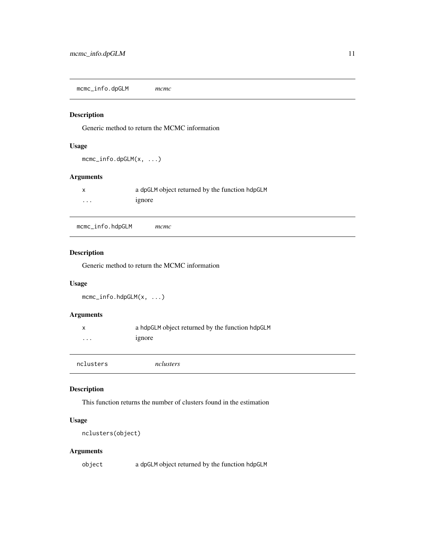<span id="page-10-0"></span>mcmc\_info.dpGLM *mcmc*

#### Description

Generic method to return the MCMC information

#### Usage

```
mcmc_info.dpGLM(x, ...)
```
#### Arguments

|          | a dpGLM object returned by the function hdpGLM |
|----------|------------------------------------------------|
| $\cdots$ | 1gnore                                         |

mcmc\_info.hdpGLM *mcmc*

#### Description

Generic method to return the MCMC information

#### Usage

```
mcmc_info.hdpGLM(x, ...)
```
#### Arguments

| x         | a hdpGLM object returned by the function hdpGLM |
|-----------|-------------------------------------------------|
| $\cdots$  | 1gnore                                          |
|           |                                                 |
| nclusters | nclusters                                       |

#### Description

This function returns the number of clusters found in the estimation

#### Usage

```
nclusters(object)
```
#### Arguments

object a dpGLM object returned by the function hdpGLM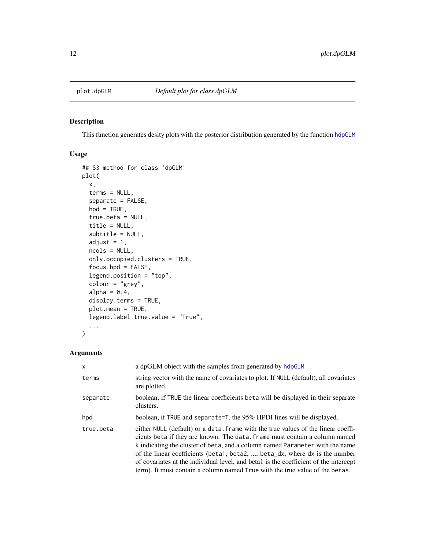<span id="page-11-1"></span><span id="page-11-0"></span>

#### Description

This function generates desity plots with the posterior distribution generated by the function [hdpGLM](#page-3-1)

#### Usage

```
## S3 method for class 'dpGLM'
plot(
  x,
  terms = NULL,
  separate = FALSE,
 hpd = TRUE,true.beta = NULL,
  title = NULL,
  subtitle = NULL,
  adjust = 1,
 ncols = NULL,
  only.occupied.clusters = TRUE,
  focus.hpd = FALSE,
  legend.position = "top",
  colour = "grey",
  alpha = 0.4,
  display.terms = TRUE,
 plot.mean = TRUE,
  legend.label.true.value = "True",
  ...
)
```

| $\times$  | a dpGLM object with the samples from generated by hdpGLM                                                                                                                                                                                                                                                                                                                                                                                                                                               |
|-----------|--------------------------------------------------------------------------------------------------------------------------------------------------------------------------------------------------------------------------------------------------------------------------------------------------------------------------------------------------------------------------------------------------------------------------------------------------------------------------------------------------------|
| terms     | string vector with the name of covariates to plot. If NULL (default), all covariates<br>are plotted.                                                                                                                                                                                                                                                                                                                                                                                                   |
| separate  | boolean, if TRUE the linear coefficients beta will be displayed in their separate<br>clusters.                                                                                                                                                                                                                                                                                                                                                                                                         |
| hpd       | boolean, if TRUE and separate=T, the 95% HPDI lines will be displayed.                                                                                                                                                                                                                                                                                                                                                                                                                                 |
| true.beta | either NULL (default) or a data. frame with the true values of the linear coeffi-<br>cients beta if they are known. The data, frame must contain a column named<br>k indicating the cluster of beta, and a column named Parameter with the name<br>of the linear coefficients (beta1, beta2, , beta_dx, where dx is the number<br>of covariates at the individual level, and beta1 is the coefficient of the intercept<br>term). It must contain a column named True with the true value of the betas. |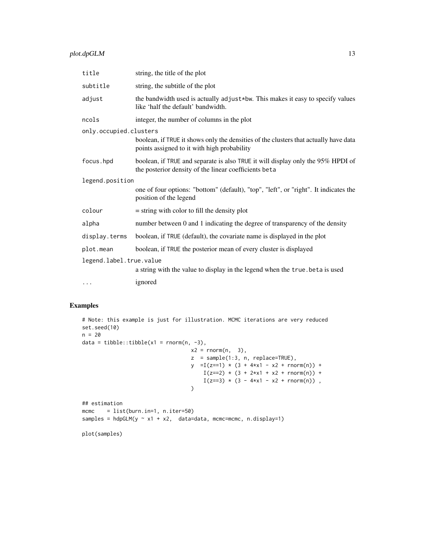#### plot.dpGLM 13

| title                   | string, the title of the plot                                                                                                            |  |
|-------------------------|------------------------------------------------------------------------------------------------------------------------------------------|--|
| subtitle                | string, the subtitle of the plot                                                                                                         |  |
| adjust                  | the bandwidth used is actually adjust*bw. This makes it easy to specify values<br>like 'half the default' bandwidth.                     |  |
| ncols                   | integer, the number of columns in the plot                                                                                               |  |
| only.occupied.clusters  |                                                                                                                                          |  |
|                         | boolean, if TRUE it shows only the densities of the clusters that actually have data<br>points assigned to it with high probability      |  |
| focus.hpd               | boolean, if TRUE and separate is also TRUE it will display only the 95% HPDI of<br>the posterior density of the linear coefficients beta |  |
| legend.position         |                                                                                                                                          |  |
|                         | one of four options: "bottom" (default), "top", "left", or "right". It indicates the<br>position of the legend                           |  |
| colour                  | $=$ string with color to fill the density plot                                                                                           |  |
| alpha                   | number between 0 and 1 indicating the degree of transparency of the density                                                              |  |
| display.terms           | boolean, if TRUE (default), the covariate name is displayed in the plot                                                                  |  |
| plot.mean               | boolean, if TRUE the posterior mean of every cluster is displayed                                                                        |  |
| legend.label.true.value |                                                                                                                                          |  |
|                         | a string with the value to display in the legend when the true. beta is used                                                             |  |
| $\cdots$                | ignored                                                                                                                                  |  |

#### Examples

```
# Note: this example is just for illustration. MCMC iterations are very reduced
set.seed(10)
n = 20
data = tibble::tibble(x1 = rnorm(n, -3),
                                   x2 = \text{rnorm}(n, 3),
                                   z = sample(1:3, n, replace=TRUE),
                                   y = I(z=1) * (3 + 4*x1 - x2 + rnorm(n)) +I(z==2) * (3 + 2*x1 + x2 + rnorm(n)) +I(z==3) * (3 - 4*x1 - x2 + rnorm(n)),
                                   \mathcal{L}## estimation
mcmc = list(burn.in=1, n.iter=50)
samples = hdpGLM(y \sim x1 + x2, data=data, mcm=mcmc, n.display=1)
```
plot(samples)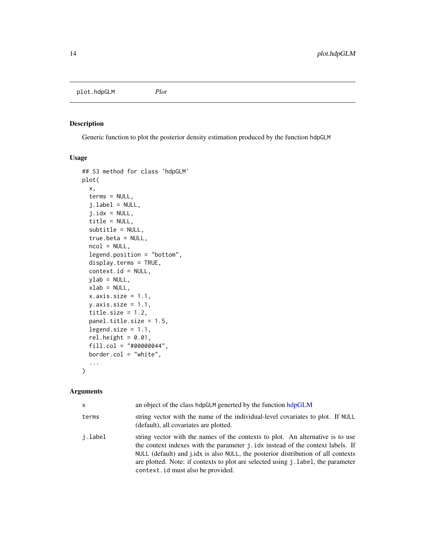<span id="page-13-0"></span>plot.hdpGLM *Plot*

#### Description

Generic function to plot the posterior density estimation produced by the function hdpGLM

#### Usage

```
## S3 method for class 'hdpGLM'
plot(
 x,
  terms = NULL,
  julabel = NULL,
  j.idx = NULL,title = NULL,
  subtitle = NULL,
  true.beta = NULL,
 ncol = NULL,legend.position = "bottom",
  display.terms = TRUE,
  context.id = NULL,
 ylab = NULL,
 xlab = NULL,
  x-axis.size = 1.1,
 y. axis.size = 1.1,
  title.size = 1.2,
 panel.title.size = 1.5,
  legend.size = 1.1,
  rel.height = 0.01,
  fill.col = "#00000044",
 border.col = "white",
  ...
\mathcal{L}
```

| X       | an object of the class hdpGLM generted by the function hdpGLM                                                                                                                                                                                                                                                                                                                    |
|---------|----------------------------------------------------------------------------------------------------------------------------------------------------------------------------------------------------------------------------------------------------------------------------------------------------------------------------------------------------------------------------------|
| terms   | string vector with the name of the individual-level covariates to plot. If NULL<br>(default), all covariates are plotted.                                                                                                                                                                                                                                                        |
| i.label | string vector with the names of the contexts to plot. An alternative is to use<br>the context indexes with the parameter j.idx instead of the context labels. If<br>NULL (default) and j.idx is also NULL, the posterior distribution of all contexts<br>are plotted. Note: if contexts to plot are selected using j. label, the parameter<br>context. id must also be provided. |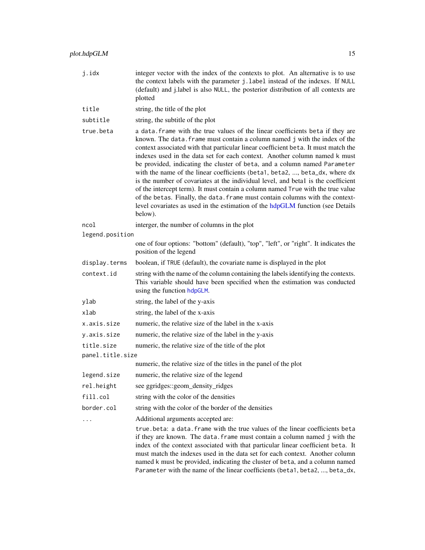| j.idx            | integer vector with the index of the contexts to plot. An alternative is to use<br>the context labels with the parameter j.label instead of the indexes. If NULL<br>(default) and j.label is also NULL, the posterior distribution of all contexts are<br>plotted                                                                                                                                                                                                                                                                                                                                                                                                                                                                                                                                                                                  |  |
|------------------|----------------------------------------------------------------------------------------------------------------------------------------------------------------------------------------------------------------------------------------------------------------------------------------------------------------------------------------------------------------------------------------------------------------------------------------------------------------------------------------------------------------------------------------------------------------------------------------------------------------------------------------------------------------------------------------------------------------------------------------------------------------------------------------------------------------------------------------------------|--|
| title            | string, the title of the plot                                                                                                                                                                                                                                                                                                                                                                                                                                                                                                                                                                                                                                                                                                                                                                                                                      |  |
| subtitle         | string, the subtitle of the plot                                                                                                                                                                                                                                                                                                                                                                                                                                                                                                                                                                                                                                                                                                                                                                                                                   |  |
| true.beta        | a data. frame with the true values of the linear coefficients beta if they are<br>known. The data. frame must contain a column named j with the index of the<br>context associated with that particular linear coefficient beta. It must match the<br>indexes used in the data set for each context. Another column named k must<br>be provided, indicating the cluster of beta, and a column named Parameter<br>with the name of the linear coefficients (beta1, beta2, , beta_dx, where dx<br>is the number of covariates at the individual level, and beta1 is the coefficient<br>of the intercept term). It must contain a column named True with the true value<br>of the betas. Finally, the data. frame must contain columns with the context-<br>level covariates as used in the estimation of the hdpGLM function (see Details<br>below). |  |
| ncol             | interger, the number of columns in the plot                                                                                                                                                                                                                                                                                                                                                                                                                                                                                                                                                                                                                                                                                                                                                                                                        |  |
| legend.position  |                                                                                                                                                                                                                                                                                                                                                                                                                                                                                                                                                                                                                                                                                                                                                                                                                                                    |  |
|                  | one of four options: "bottom" (default), "top", "left", or "right". It indicates the<br>position of the legend                                                                                                                                                                                                                                                                                                                                                                                                                                                                                                                                                                                                                                                                                                                                     |  |
| display.terms    | boolean, if TRUE (default), the covariate name is displayed in the plot                                                                                                                                                                                                                                                                                                                                                                                                                                                                                                                                                                                                                                                                                                                                                                            |  |
| context.id       | string with the name of the column containing the labels identifying the contexts.<br>This variable should have been specified when the estimation was conducted<br>using the function hdpGLM.                                                                                                                                                                                                                                                                                                                                                                                                                                                                                                                                                                                                                                                     |  |
| ylab             | string, the label of the y-axis                                                                                                                                                                                                                                                                                                                                                                                                                                                                                                                                                                                                                                                                                                                                                                                                                    |  |
| xlab             | string, the label of the x-axis                                                                                                                                                                                                                                                                                                                                                                                                                                                                                                                                                                                                                                                                                                                                                                                                                    |  |
| x.axis.size      | numeric, the relative size of the label in the x-axis                                                                                                                                                                                                                                                                                                                                                                                                                                                                                                                                                                                                                                                                                                                                                                                              |  |
| y.axis.size      | numeric, the relative size of the label in the y-axis                                                                                                                                                                                                                                                                                                                                                                                                                                                                                                                                                                                                                                                                                                                                                                                              |  |
| title.size       | numeric, the relative size of the title of the plot                                                                                                                                                                                                                                                                                                                                                                                                                                                                                                                                                                                                                                                                                                                                                                                                |  |
| panel.title.size |                                                                                                                                                                                                                                                                                                                                                                                                                                                                                                                                                                                                                                                                                                                                                                                                                                                    |  |
|                  | numeric, the relative size of the titles in the panel of the plot                                                                                                                                                                                                                                                                                                                                                                                                                                                                                                                                                                                                                                                                                                                                                                                  |  |
| legend.size      | numeric, the relative size of the legend                                                                                                                                                                                                                                                                                                                                                                                                                                                                                                                                                                                                                                                                                                                                                                                                           |  |
| rel.height       | see ggridges::geom_density_ridges                                                                                                                                                                                                                                                                                                                                                                                                                                                                                                                                                                                                                                                                                                                                                                                                                  |  |
| fill.col         | string with the color of the densities                                                                                                                                                                                                                                                                                                                                                                                                                                                                                                                                                                                                                                                                                                                                                                                                             |  |
| border.col       | string with the color of the border of the densities                                                                                                                                                                                                                                                                                                                                                                                                                                                                                                                                                                                                                                                                                                                                                                                               |  |
|                  | Additional arguments accepted are:                                                                                                                                                                                                                                                                                                                                                                                                                                                                                                                                                                                                                                                                                                                                                                                                                 |  |
|                  | true.beta: a data.frame with the true values of the linear coefficients beta<br>if they are known. The data. frame must contain a column named j with the<br>index of the context associated with that particular linear coefficient beta. It<br>must match the indexes used in the data set for each context. Another column<br>named k must be provided, indicating the cluster of beta, and a column named<br>Parameter with the name of the linear coefficients (beta1, beta2, , beta_dx,                                                                                                                                                                                                                                                                                                                                                      |  |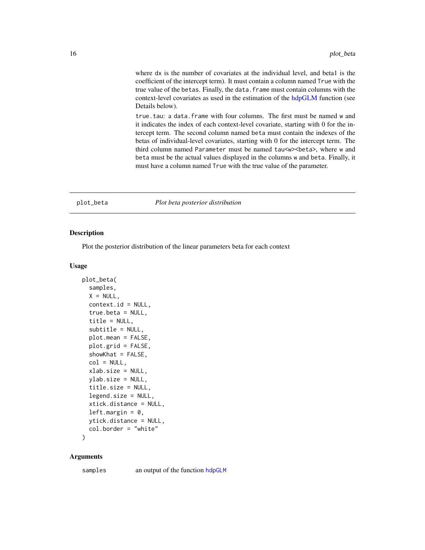<span id="page-15-0"></span>where dx is the number of covariates at the individual level, and beta1 is the coefficient of the intercept term). It must contain a column named True with the true value of the betas. Finally, the data.frame must contain columns with the context-level covariates as used in the estimation of the [hdpGLM](#page-3-1) function (see Details below).

true.tau: a data.frame with four columns. The first must be named w and it indicates the index of each context-level covariate, starting with 0 for the intercept term. The second column named beta must contain the indexes of the betas of individual-level covariates, starting with 0 for the intercept term. The third column named Parameter must be named tau<w><br/>beta>, where w and beta must be the actual values displayed in the columns w and beta. Finally, it must have a column named True with the true value of the parameter.

#### plot\_beta *Plot beta posterior distribution*

#### **Description**

Plot the posterior distribution of the linear parameters beta for each context

#### Usage

```
plot_beta(
  samples,
 X = NULL,context.id = NULL,true.beta = NULL,
  title = NULL,
  subtitle = NULL,
  plot.mean = FALSE,
  plot.grid = FALSE,
  showKhat = FALSE,
  col = NULL,xlab.size = NULL,
  ylab.size = NULL,
  title.size = NULL,
  legend.size = NULL,
  xtick.distance = NULL,
  left.margin = 0,
  ytick.distance = NULL,
  col.border = "white"
```
)

#### Arguments

samples an output of the function [hdpGLM](#page-3-1)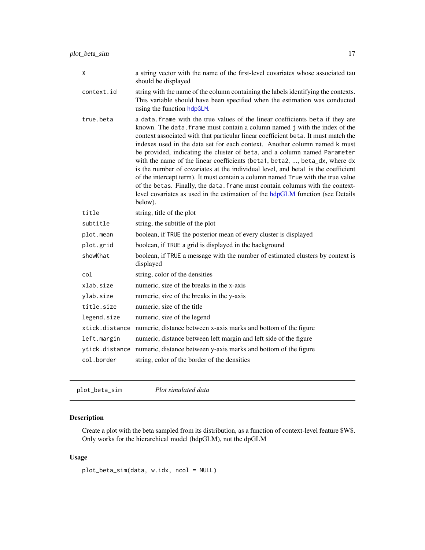<span id="page-16-0"></span>

| Χ              | a string vector with the name of the first-level covariates whose associated tau<br>should be displayed                                                                                                                                                                                                                                                                                                                                                                                                                                                                                                                                                                                                                                                                                                                                            |
|----------------|----------------------------------------------------------------------------------------------------------------------------------------------------------------------------------------------------------------------------------------------------------------------------------------------------------------------------------------------------------------------------------------------------------------------------------------------------------------------------------------------------------------------------------------------------------------------------------------------------------------------------------------------------------------------------------------------------------------------------------------------------------------------------------------------------------------------------------------------------|
| context.id     | string with the name of the column containing the labels identifying the contexts.<br>This variable should have been specified when the estimation was conducted<br>using the function hdpGLM.                                                                                                                                                                                                                                                                                                                                                                                                                                                                                                                                                                                                                                                     |
| true.beta      | a data. frame with the true values of the linear coefficients beta if they are<br>known. The data. frame must contain a column named j with the index of the<br>context associated with that particular linear coefficient beta. It must match the<br>indexes used in the data set for each context. Another column named k must<br>be provided, indicating the cluster of beta, and a column named Parameter<br>with the name of the linear coefficients (beta1, beta2, , beta_dx, where dx<br>is the number of covariates at the individual level, and beta1 is the coefficient<br>of the intercept term). It must contain a column named True with the true value<br>of the betas. Finally, the data. frame must contain columns with the context-<br>level covariates as used in the estimation of the hdpGLM function (see Details<br>below). |
| title          | string, title of the plot                                                                                                                                                                                                                                                                                                                                                                                                                                                                                                                                                                                                                                                                                                                                                                                                                          |
| subtitle       | string, the subtitle of the plot                                                                                                                                                                                                                                                                                                                                                                                                                                                                                                                                                                                                                                                                                                                                                                                                                   |
| plot.mean      | boolean, if TRUE the posterior mean of every cluster is displayed                                                                                                                                                                                                                                                                                                                                                                                                                                                                                                                                                                                                                                                                                                                                                                                  |
| plot.grid      | boolean, if TRUE a grid is displayed in the background                                                                                                                                                                                                                                                                                                                                                                                                                                                                                                                                                                                                                                                                                                                                                                                             |
| showKhat       | boolean, if TRUE a message with the number of estimated clusters by context is<br>displayed                                                                                                                                                                                                                                                                                                                                                                                                                                                                                                                                                                                                                                                                                                                                                        |
| col            | string, color of the densities                                                                                                                                                                                                                                                                                                                                                                                                                                                                                                                                                                                                                                                                                                                                                                                                                     |
| xlab.size      | numeric, size of the breaks in the x-axis                                                                                                                                                                                                                                                                                                                                                                                                                                                                                                                                                                                                                                                                                                                                                                                                          |
| ylab.size      | numeric, size of the breaks in the y-axis                                                                                                                                                                                                                                                                                                                                                                                                                                                                                                                                                                                                                                                                                                                                                                                                          |
| title.size     | numeric, size of the title                                                                                                                                                                                                                                                                                                                                                                                                                                                                                                                                                                                                                                                                                                                                                                                                                         |
| legend.size    | numeric, size of the legend                                                                                                                                                                                                                                                                                                                                                                                                                                                                                                                                                                                                                                                                                                                                                                                                                        |
| xtick.distance | numeric, distance between x-axis marks and bottom of the figure                                                                                                                                                                                                                                                                                                                                                                                                                                                                                                                                                                                                                                                                                                                                                                                    |
| left.margin    | numeric, distance between left margin and left side of the figure                                                                                                                                                                                                                                                                                                                                                                                                                                                                                                                                                                                                                                                                                                                                                                                  |
| ytick.distance | numeric, distance between y-axis marks and bottom of the figure                                                                                                                                                                                                                                                                                                                                                                                                                                                                                                                                                                                                                                                                                                                                                                                    |
| col.border     | string, color of the border of the densities                                                                                                                                                                                                                                                                                                                                                                                                                                                                                                                                                                                                                                                                                                                                                                                                       |

plot\_beta\_sim *Plot simulated data*

#### Description

Create a plot with the beta sampled from its distribution, as a function of context-level feature \$W\$. Only works for the hierarchical model (hdpGLM), not the dpGLM

#### Usage

plot\_beta\_sim(data, w.idx, ncol = NULL)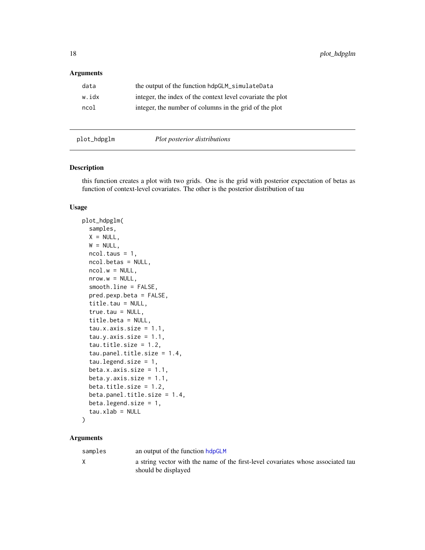#### <span id="page-17-0"></span>Arguments

| data  | the output of the function hdpGLM_simulateData             |
|-------|------------------------------------------------------------|
| w.idx | integer, the index of the context level covariate the plot |
| ncol  | integer, the number of columns in the grid of the plot     |

plot\_hdpglm *Plot posterior distributions*

#### Description

this function creates a plot with two grids. One is the grid with posterior expectation of betas as function of context-level covariates. The other is the posterior distribution of tau

#### Usage

```
plot_hdpglm(
  samples,
 X = NULL,W = NULL,
 ncol.taus = 1,
 ncol.betas = NULL,
 ncol.w = NULL,nrow.w = NULL,smooth.line = FALSE,
 pred.pexp.beta = FALSE,
  title.tau = NULL,
  true.tau = NULL,title.beta = NULL,
  tau.x.axis.size = 1.1,tau.y. axis.size = 1.1,tau.title.size = 1.2,
  tau.panel.title.size = 1.4,
  tau.legend.size = 1,
  beta.x.axis.size = 1.1,beta.y.axis.size = 1.1,
 beta.title.size = 1.2,
 beta.panel.title.size = 1.4,
 beta.legend.size = 1,
  tau.xlab = NULL)
```

| samples | an output of the function hdpGLM                                                                        |
|---------|---------------------------------------------------------------------------------------------------------|
|         | a string vector with the name of the first-level covariates whose associated tau<br>should be displayed |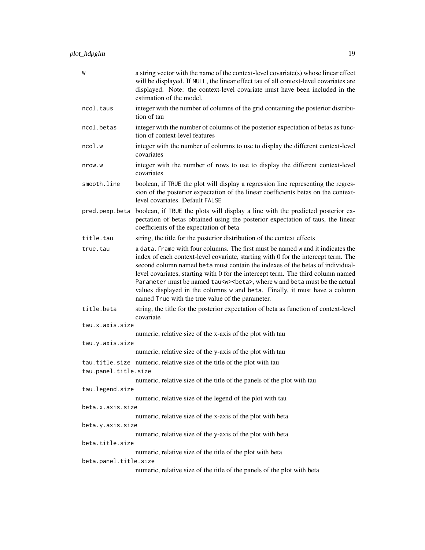| W                     | a string vector with the name of the context-level covariate(s) whose linear effect<br>will be displayed. If NULL, the linear effect tau of all context-level covariates are<br>displayed. Note: the context-level covariate must have been included in the<br>estimation of the model.                                                                                                                                                                                                                                                                                 |
|-----------------------|-------------------------------------------------------------------------------------------------------------------------------------------------------------------------------------------------------------------------------------------------------------------------------------------------------------------------------------------------------------------------------------------------------------------------------------------------------------------------------------------------------------------------------------------------------------------------|
| ncol.taus             | integer with the number of columns of the grid containing the posterior distribu-<br>tion of tau                                                                                                                                                                                                                                                                                                                                                                                                                                                                        |
| ncol.betas            | integer with the number of columns of the posterior expectation of betas as func-<br>tion of context-level features                                                                                                                                                                                                                                                                                                                                                                                                                                                     |
| ncol.w                | integer with the number of columns to use to display the different context-level<br>covariates                                                                                                                                                                                                                                                                                                                                                                                                                                                                          |
| nrow.w                | integer with the number of rows to use to display the different context-level<br>covariates                                                                                                                                                                                                                                                                                                                                                                                                                                                                             |
| smooth.line           | boolean, if TRUE the plot will display a regression line representing the regres-<br>sion of the posterior expectation of the linear coefficients betas on the context-<br>level covariates. Default FALSE                                                                                                                                                                                                                                                                                                                                                              |
| pred.pexp.beta        | boolean, if TRUE the plots will display a line with the predicted posterior ex-<br>pectation of betas obtained using the posterior expectation of taus, the linear<br>coefficients of the expectation of beta                                                                                                                                                                                                                                                                                                                                                           |
| title.tau             | string, the title for the posterior distribution of the context effects                                                                                                                                                                                                                                                                                                                                                                                                                                                                                                 |
| true.tau              | a data. frame with four columns. The first must be named w and it indicates the<br>index of each context-level covariate, starting with 0 for the intercept term. The<br>second column named beta must contain the indexes of the betas of individual-<br>level covariates, starting with 0 for the intercept term. The third column named<br>Parameter must be named tau <w><beta>, where w and beta must be the actual<br/>values displayed in the columns w and beta. Finally, it must have a column<br/>named True with the true value of the parameter.</beta></w> |
| title.beta            | string, the title for the posterior expectation of beta as function of context-level<br>covariate                                                                                                                                                                                                                                                                                                                                                                                                                                                                       |
| tau.x.axis.size       |                                                                                                                                                                                                                                                                                                                                                                                                                                                                                                                                                                         |
| tau.y.axis.size       | numeric, relative size of the x-axis of the plot with tau                                                                                                                                                                                                                                                                                                                                                                                                                                                                                                               |
|                       | numeric, relative size of the y-axis of the plot with tau                                                                                                                                                                                                                                                                                                                                                                                                                                                                                                               |
|                       | tau.title.size numeric, relative size of the title of the plot with tau                                                                                                                                                                                                                                                                                                                                                                                                                                                                                                 |
| tau.panel.title.size  |                                                                                                                                                                                                                                                                                                                                                                                                                                                                                                                                                                         |
|                       | numeric, relative size of the title of the panels of the plot with tau                                                                                                                                                                                                                                                                                                                                                                                                                                                                                                  |
| tau.legend.size       |                                                                                                                                                                                                                                                                                                                                                                                                                                                                                                                                                                         |
|                       | numeric, relative size of the legend of the plot with tau                                                                                                                                                                                                                                                                                                                                                                                                                                                                                                               |
| beta.x.axis.size      |                                                                                                                                                                                                                                                                                                                                                                                                                                                                                                                                                                         |
| beta.y.axis.size      | numeric, relative size of the x-axis of the plot with beta                                                                                                                                                                                                                                                                                                                                                                                                                                                                                                              |
|                       | numeric, relative size of the y-axis of the plot with beta                                                                                                                                                                                                                                                                                                                                                                                                                                                                                                              |
| beta.title.size       |                                                                                                                                                                                                                                                                                                                                                                                                                                                                                                                                                                         |
|                       | numeric, relative size of the title of the plot with beta                                                                                                                                                                                                                                                                                                                                                                                                                                                                                                               |
| beta.panel.title.size |                                                                                                                                                                                                                                                                                                                                                                                                                                                                                                                                                                         |
|                       | numeric, relative size of the title of the panels of the plot with beta                                                                                                                                                                                                                                                                                                                                                                                                                                                                                                 |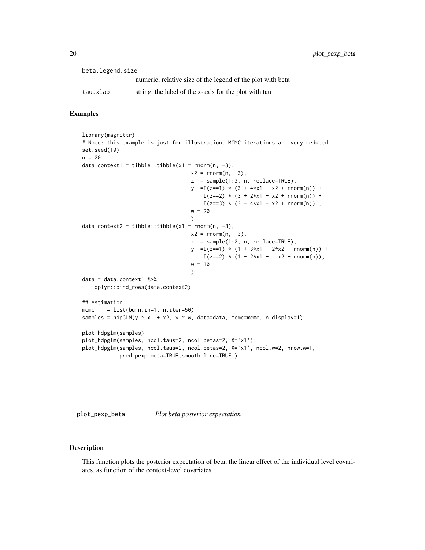<span id="page-19-0"></span>

| beta.legend.size |                                                            |
|------------------|------------------------------------------------------------|
|                  | numeric, relative size of the legend of the plot with beta |
| tau.xlab         | string, the label of the x-axis for the plot with tau      |

#### Examples

```
library(magrittr)
# Note: this example is just for illustration. MCMC iterations are very reduced
set.seed(10)
n = 20data.context1 = tibble::tibble(x1 = rnorm(n, -3),
                                   x2 = rnorm(n, 3),
                                   z = sample(1:3, n, replace=TRUE),
                                   y = I(z=1) * (3 + 4*x1 - x2 + rnorm(n)) +I(z==2) * (3 + 2*x1 + x2 + \text{rnorm}(n)) +I(z==3) * (3 - 4*x1 - x2 + rnorm(n)),
                                   w = 20)
data.context2 = tibble::tibble(x1 = rnorm(n, -3),
                                   x2 = rnorm(n, 3),
                                   z = sample(1:2, n, replace=TRUE),y = I(z=1) * (1 + 3*x1 - 2*x2 + rnorm(n)) +I(z==2) * (1 - 2*x1 + x2 + rnorm(n)),w = 10)
data = data.context1 %>%
   dplyr::bind_rows(data.context2)
## estimation
mcmc = list(burn.in=1, n.iter=50)
samples = hdpGLM(y \sim x1 + x2, y \sim w, data=data, mcmc=mcmc, n.display=1)
plot_hdpglm(samples)
plot_hdpglm(samples, ncol.taus=2, ncol.betas=2, X='x1')
plot_hdpglm(samples, ncol.taus=2, ncol.betas=2, X='x1', ncol.w=2, nrow.w=1,
            pred.pexp.beta=TRUE,smooth.line=TRUE )
```
plot\_pexp\_beta *Plot beta posterior expectation*

#### Description

This function plots the posterior expectation of beta, the linear effect of the individual level covariates, as function of the context-level covariates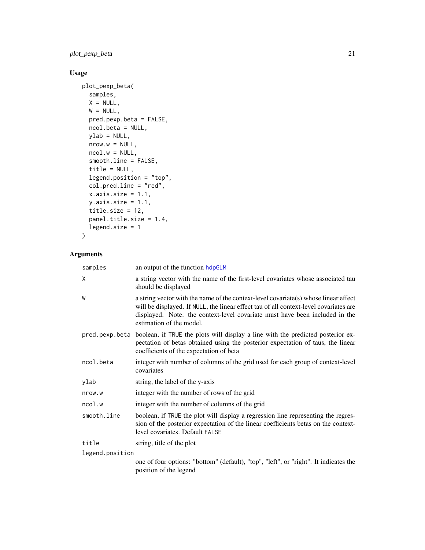#### <span id="page-20-0"></span>plot\_pexp\_beta 21

### Usage

```
plot_pexp_beta(
  samples,
  X = NULL,W = NULL,pred.pexp.beta = FALSE,
  ncol.beta = NULL,
  ylab = NULL,
  nrow.w = NULL,ncol.w = NULL,smooth.line = FALSE,
  title = NULL,
  legend.position = "top",
  col.pred.line = "red",
  x. axis.size = 1.1,y.axis.size = 1.1,
  title.size = 12,
  panel.title.size = 1.4,
  legend.size = 1
\mathcal{L}
```

| samples         | an output of the function hdpGLM                                                                                                                                                                                                                                                        |
|-----------------|-----------------------------------------------------------------------------------------------------------------------------------------------------------------------------------------------------------------------------------------------------------------------------------------|
| X               | a string vector with the name of the first-level covariates whose associated tau<br>should be displayed                                                                                                                                                                                 |
| W               | a string vector with the name of the context-level covariate(s) whose linear effect<br>will be displayed. If NULL, the linear effect tau of all context-level covariates are<br>displayed. Note: the context-level covariate must have been included in the<br>estimation of the model. |
|                 | pred pexp beta boolean, if TRUE the plots will display a line with the predicted posterior ex-<br>pectation of betas obtained using the posterior expectation of taus, the linear<br>coefficients of the expectation of beta                                                            |
| ncol.beta       | integer with number of columns of the grid used for each group of context-level<br>covariates                                                                                                                                                                                           |
| ylab            | string, the label of the y-axis                                                                                                                                                                                                                                                         |
| nrow.w          | integer with the number of rows of the grid                                                                                                                                                                                                                                             |
| ncol.w          | integer with the number of columns of the grid                                                                                                                                                                                                                                          |
| smooth.line     | boolean, if TRUE the plot will display a regression line representing the regres-<br>sion of the posterior expectation of the linear coefficients betas on the context-<br>level covariates. Default FALSE                                                                              |
| title           | string, title of the plot                                                                                                                                                                                                                                                               |
| legend.position |                                                                                                                                                                                                                                                                                         |
|                 | one of four options: "bottom" (default), "top", "left", or "right". It indicates the<br>position of the legend                                                                                                                                                                          |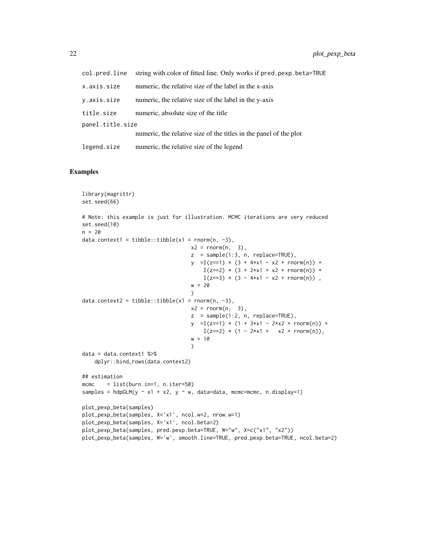| col.pred.line    | string with color of fitted line. Only works if pred.pexp.beta=TRUE |
|------------------|---------------------------------------------------------------------|
| x.axis.size      | numeric, the relative size of the label in the x-axis               |
| y.axis.size      | numeric, the relative size of the label in the y-axis               |
| title.size       | numeric, absolute size of the title                                 |
| panel.title.size |                                                                     |
|                  | numeric, the relative size of the titles in the panel of the plot   |
| legend.size      | numeric, the relative size of the legend                            |

#### Examples

```
library(magrittr)
set.seed(66)
# Note: this example is just for illustration. MCMC iterations are very reduced
set.seed(10)
n = 20data.context1 = tibble::tibble(x1 = rnorm(n, -3),
                                  x2 = rnorm(n, 3),
                                   z = sample(1:3, n, replace=TRUE),y = I(z=1) * (3 + 4*x1 - x2 + rnorm(n)) +I(z==2) * (3 + 2*x1 + x2 + rnorm(n)) +I(z==3) * (3 - 4*x1 - x2 + rnorm(n)),
                                   w = 20\lambdadata.context2 = tibble::tibble(x1 = rnorm(n, -3),
                                  x2 = rnorm(n, 3),z = sample(1:2, n, replace=TRUE),
                                   y = I(z=1) * (1 + 3*x1 - 2*x2 + rnorm(n)) +I(z==2) * (1 - 2*x1 + x2 + \text{norm}(n)),w = 10)
data = data.context1 %>%
   dplyr::bind_rows(data.context2)
## estimation
mcmc = list(burn.in=1, n.iter=50)
samples = hdpGLM(y \sim x1 + x2, y \sim w, data=data, mcmc=mcmc, n.display=1)
plot_pexp_beta(samples)
plot_pexp_beta(samples, X='x1', ncol.w=2, nrow.w=1)
plot_pexp_beta(samples, X='x1', ncol.beta=2)
plot_pexp_beta(samples, pred.pexp.beta=TRUE, W="w", X=c("x1", "x2"))
plot_pexp_beta(samples, W='w', smooth.line=TRUE, pred.pexp.beta=TRUE, ncol.beta=2)
```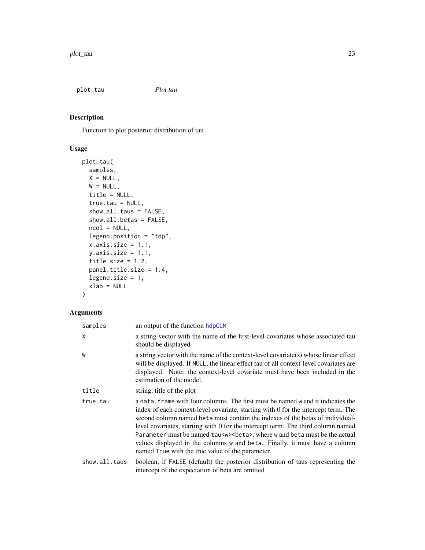<span id="page-22-0"></span>plot\_tau *Plot tau*

#### Description

Function to plot posterior distribution of tau

#### Usage

```
plot_tau(
  samples,
 X = NULL,W = NULL,title = NULL,
  true.tau = NULL,
  show.all.taus = FALSE,
  show.all.betas = FALSE,
 ncol = NULL,legend.position = "top",
  x.axis.size = 1.1,
 y.axis.size = 1.1,
  title.size = 1.2,
 panel.title.size = 1.4,
  legend.size = 1,
  xlab = NULL
)
```

| samples       | an output of the function hdpGLM                                                                                                                                                                                                                                                                                                                                                                                                                                                                                                                                         |
|---------------|--------------------------------------------------------------------------------------------------------------------------------------------------------------------------------------------------------------------------------------------------------------------------------------------------------------------------------------------------------------------------------------------------------------------------------------------------------------------------------------------------------------------------------------------------------------------------|
| X             | a string vector with the name of the first-level covariates whose associated tau<br>should be displayed                                                                                                                                                                                                                                                                                                                                                                                                                                                                  |
| W             | a string vector with the name of the context-level covariate(s) whose linear effect<br>will be displayed. If NULL, the linear effect tau of all context-level covariates are<br>displayed. Note: the context-level covariate must have been included in the<br>estimation of the model.                                                                                                                                                                                                                                                                                  |
| title         | string, title of the plot                                                                                                                                                                                                                                                                                                                                                                                                                                                                                                                                                |
| true.tau      | a data. Frame with four columns. The first must be named w and it indicates the<br>index of each context-level covariate, starting with 0 for the intercept term. The<br>second column named beta must contain the indexes of the betas of individual-<br>level covariates, starting with 0 for the intercept term. The third column named<br>Parameter must be named tau <w> &lt; beta&gt;, where w and beta must be the actual<br/>values displayed in the columns w and beta. Finally, it must have a column<br/>named True with the true value of the parameter.</w> |
| show.all.taus | boolean, if FALSE (default) the posterior distribution of taus representing the<br>intercept of the expectation of beta are omitted                                                                                                                                                                                                                                                                                                                                                                                                                                      |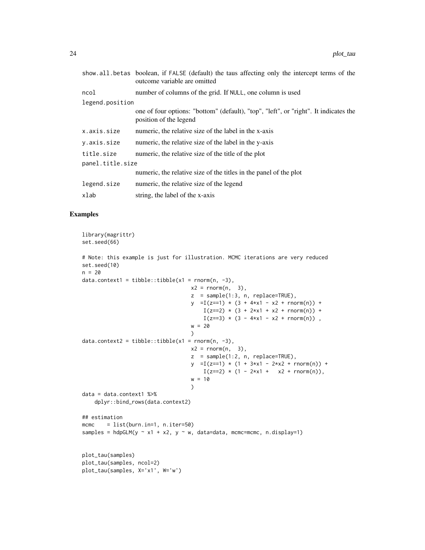|                  | show all betas boolean, if FALSE (default) the taus affecting only the intercept terms of the<br>outcome variable are omitted |
|------------------|-------------------------------------------------------------------------------------------------------------------------------|
| ncol             | number of columns of the grid. If NULL, one column is used                                                                    |
| legend.position  |                                                                                                                               |
|                  | one of four options: "bottom" (default), "top", "left", or "right". It indicates the<br>position of the legend                |
| x.axis.size      | numeric, the relative size of the label in the x-axis                                                                         |
| y.axis.size      | numeric, the relative size of the label in the y-axis                                                                         |
| title.size       | numeric, the relative size of the title of the plot                                                                           |
| panel.title.size |                                                                                                                               |
|                  | numeric, the relative size of the titles in the panel of the plot                                                             |
| legend.size      | numeric, the relative size of the legend                                                                                      |
| xlab             | string, the label of the x-axis                                                                                               |

#### Examples

```
library(magrittr)
set.seed(66)
# Note: this example is just for illustration. MCMC iterations are very reduced
set.seed(10)
n = 20data.context1 = tibble::tibble(x1 = rnorm(n, -3),
                                   x2 = rnorm(n, 3),
                                   z = sample(1:3, n, replace=TRUE),
                                   y = I(z=1) * (3 + 4*x1 - x2 + rnorm(n)) +I(z==2) * (3 + 2*x1 + x2 + \text{norm}(n)) +I(z==3) * (3 - 4*x1 - x2 + rnorm(n)),
                                   w = 20)
data.context2 = tibble::tibble(x1 = rnorm(n, -3),
                                   x2 = \text{rnorm}(n, 3),
                                   z = sample(1:2, n, replace=TRUE),
                                   y =I(z=1) * (1 + 3*x1 - 2*x2 + rnorm(n)) +I(z==2) * (1 - 2*x1 + x2 + \text{rnorm}(n)),w = 10\mathcal{L}data = data.context1 %>%
   dplyr::bind_rows(data.context2)
## estimation
mcmc = list(burn.in=1, n.iter=50)
samples = hdpGLM(y \sim x1 + x2, y \sim w, data=data, mcmc=mcmc, n.display=1)
plot_tau(samples)
plot_tau(samples, ncol=2)
plot_tau(samples, X='x1', W='w')
```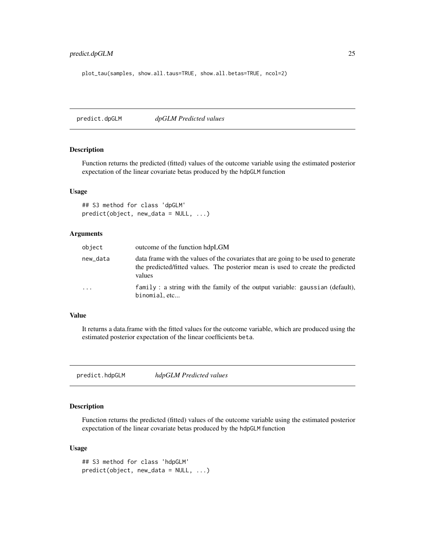#### <span id="page-24-0"></span>predict.dpGLM 25

plot\_tau(samples, show.all.taus=TRUE, show.all.betas=TRUE, ncol=2)

predict.dpGLM *dpGLM Predicted values*

#### Description

Function returns the predicted (fitted) values of the outcome variable using the estimated posterior expectation of the linear covariate betas produced by the hdpGLM function

#### Usage

```
## S3 method for class 'dpGLM'
predict(object, new_data = NULL, ...)
```
#### Arguments

| object     | outcome of the function hdpLGM                                                                                                                                                  |
|------------|---------------------------------------------------------------------------------------------------------------------------------------------------------------------------------|
| new_data   | data frame with the values of the covariates that are going to be used to generate<br>the predicted/fitted values. The posterior mean is used to create the predicted<br>values |
| $\ddots$ . | $family: a string with the family of the output variable: gaussian (default),$<br>binomial, etc                                                                                 |

#### Value

It returns a data.frame with the fitted values for the outcome variable, which are produced using the estimated posterior expectation of the linear coefficients beta.

predict.hdpGLM *hdpGLM Predicted values*

#### Description

Function returns the predicted (fitted) values of the outcome variable using the estimated posterior expectation of the linear covariate betas produced by the hdpGLM function

#### Usage

```
## S3 method for class 'hdpGLM'
predict(object, new_data = NULL, ...)
```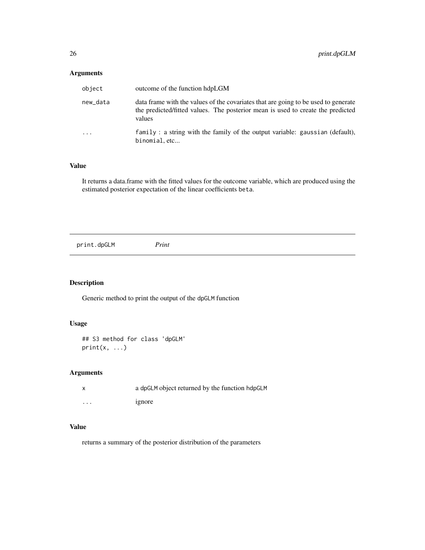#### <span id="page-25-0"></span>Arguments

| object     | outcome of the function hdpLGM                                                                                                                                                  |
|------------|---------------------------------------------------------------------------------------------------------------------------------------------------------------------------------|
| new_data   | data frame with the values of the covariates that are going to be used to generate<br>the predicted/fitted values. The posterior mean is used to create the predicted<br>values |
| $\ddots$ . | family: a string with the family of the output variable: gaussian (default),<br>binomial, etc                                                                                   |

#### Value

It returns a data.frame with the fitted values for the outcome variable, which are produced using the estimated posterior expectation of the linear coefficients beta.

|--|--|

#### Description

Generic method to print the output of the dpGLM function

#### Usage

```
## S3 method for class 'dpGLM'
print(x, \ldots)
```
#### Arguments

|          | a dpGLM object returned by the function hdpGLM |
|----------|------------------------------------------------|
| $\cdots$ | 1gnore                                         |

#### Value

returns a summary of the posterior distribution of the parameters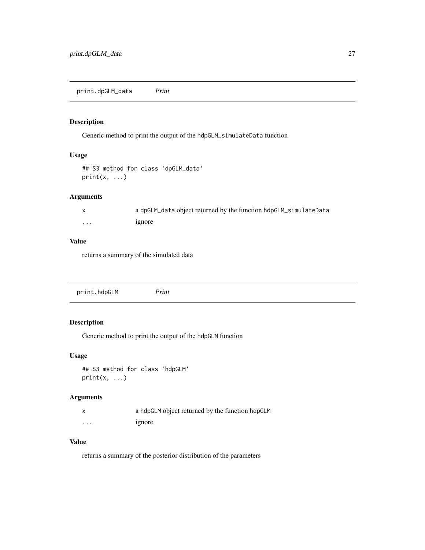<span id="page-26-0"></span>print.dpGLM\_data *Print*

#### Description

Generic method to print the output of the hdpGLM\_simulateData function

#### Usage

```
## S3 method for class 'dpGLM_data'
print(x, \ldots)
```
#### Arguments

|         | a dpGLM_data object returned by the function hdpGLM_simulateData |
|---------|------------------------------------------------------------------|
| $\cdot$ | 1gnore                                                           |

#### Value

returns a summary of the simulated data

print.hdpGLM *Print*

#### Description

Generic method to print the output of the hdpGLM function

#### Usage

```
## S3 method for class 'hdpGLM'
print(x, \ldots)
```
#### Arguments

|   | a hdpGLM object returned by the function hdpGLM |
|---|-------------------------------------------------|
| . | 1gnore                                          |

#### Value

returns a summary of the posterior distribution of the parameters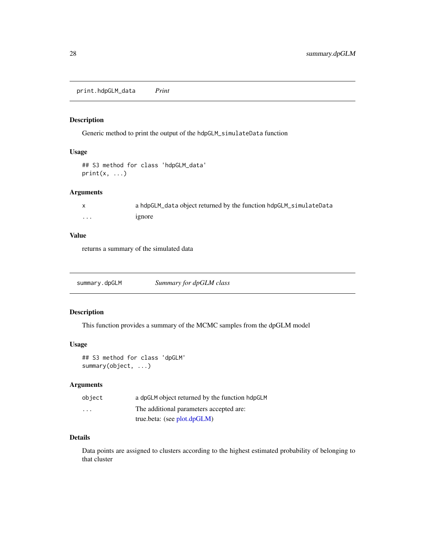<span id="page-27-0"></span>print.hdpGLM\_data *Print*

#### Description

Generic method to print the output of the hdpGLM\_simulateData function

#### Usage

```
## S3 method for class 'hdpGLM_data'
print(x, \ldots)
```
#### Arguments

|          | a hdpGLM_data object returned by the function hdpGLM_simulateData |
|----------|-------------------------------------------------------------------|
| $\cdots$ | 1gnore                                                            |

#### Value

returns a summary of the simulated data

summary.dpGLM *Summary for dpGLM class*

#### Description

This function provides a summary of the MCMC samples from the dpGLM model

#### Usage

## S3 method for class 'dpGLM' summary(object, ...)

#### Arguments

| object                  | a dpGLM object returned by the function hdpGLM |
|-------------------------|------------------------------------------------|
| $\cdot$ $\cdot$ $\cdot$ | The additional parameters accepted are:        |
|                         | true.beta: (see plot.dpGLM)                    |

#### Details

Data points are assigned to clusters according to the highest estimated probability of belonging to that cluster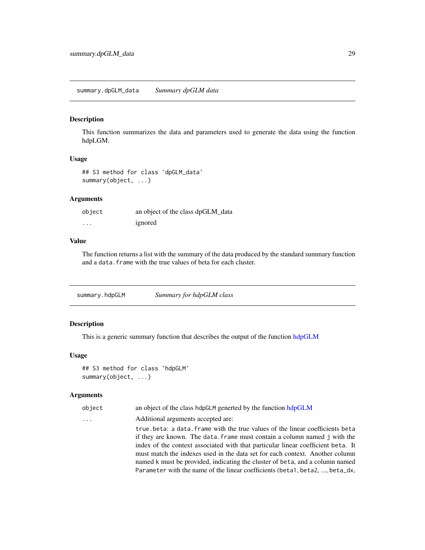#### <span id="page-28-0"></span>Description

This function summarizes the data and parameters used to generate the data using the function hdpLGM.

#### Usage

## S3 method for class 'dpGLM\_data' summary(object, ...)

#### Arguments

| object   | an object of the class dpGLM_data |
|----------|-----------------------------------|
| $\cdots$ | ignored                           |

#### Value

The function returns a list with the summary of the data produced by the standard summary function and a data. frame with the true values of beta for each cluster.

summary.hdpGLM *Summary for hdpGLM class*

#### Description

This is a generic summary function that describes the output of the function [hdpGLM](#page-3-1)

#### Usage

```
## S3 method for class 'hdpGLM'
summary(object, ...)
```

| object | an object of the class hdpGLM generted by the function hdpGLM                    |
|--------|----------------------------------------------------------------------------------|
| .      | Additional arguments accepted are:                                               |
|        | true beta: a data. frame with the true values of the linear coefficients beta    |
|        | if they are known. The data, frame must contain a column named j with the        |
|        | index of the context associated with that particular linear coefficient beta. It |
|        | must match the indexes used in the data set for each context. Another column     |
|        | named k must be provided, indicating the cluster of beta, and a column named     |
|        | Parameter with the name of the linear coefficients (beta1, beta2, , beta_dx,     |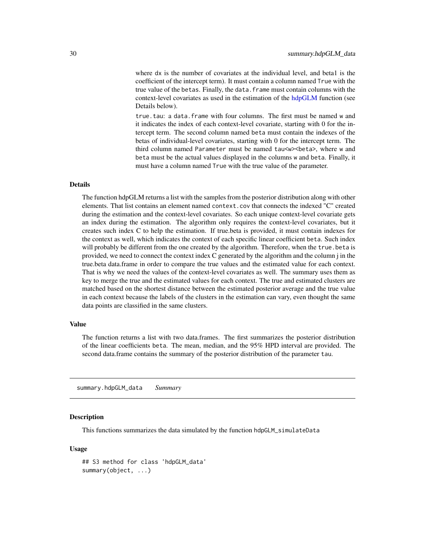<span id="page-29-0"></span>where dx is the number of covariates at the individual level, and beta1 is the coefficient of the intercept term). It must contain a column named True with the true value of the betas. Finally, the data.frame must contain columns with the context-level covariates as used in the estimation of the [hdpGLM](#page-3-1) function (see Details below).

true.tau: a data.frame with four columns. The first must be named w and it indicates the index of each context-level covariate, starting with 0 for the intercept term. The second column named beta must contain the indexes of the betas of individual-level covariates, starting with 0 for the intercept term. The third column named Parameter must be named tau<w><br/>>beta>, where w and beta must be the actual values displayed in the columns w and beta. Finally, it must have a column named True with the true value of the parameter.

#### Details

The function hdpGLM returns a list with the samples from the posterior distribution along with other elements. That list contains an element named context.cov that connects the indexed "C" created during the estimation and the context-level covariates. So each unique context-level covariate gets an index during the estimation. The algorithm only requires the context-level covariates, but it creates such index C to help the estimation. If true.beta is provided, it must contain indexes for the context as well, which indicates the context of each specific linear coefficient beta. Such index will probably be different from the one created by the algorithm. Therefore, when the true, beta is provided, we need to connect the context index C generated by the algorithm and the column j in the true.beta data.frame in order to compare the true values and the estimated value for each context. That is why we need the values of the context-level covariates as well. The summary uses them as key to merge the true and the estimated values for each context. The true and estimated clusters are matched based on the shortest distance between the estimated posterior average and the true value in each context because the labels of the clusters in the estimation can vary, even thought the same data points are classified in the same clusters.

#### Value

The function returns a list with two data.frames. The first summarizes the posterior distribution of the linear coefficients beta. The mean, median, and the 95% HPD interval are provided. The second data.frame contains the summary of the posterior distribution of the parameter tau.

summary.hdpGLM\_data *Summary*

#### **Description**

This functions summarizes the data simulated by the function hdpGLM\_simulateData

#### Usage

```
## S3 method for class 'hdpGLM_data'
summary(object, ...)
```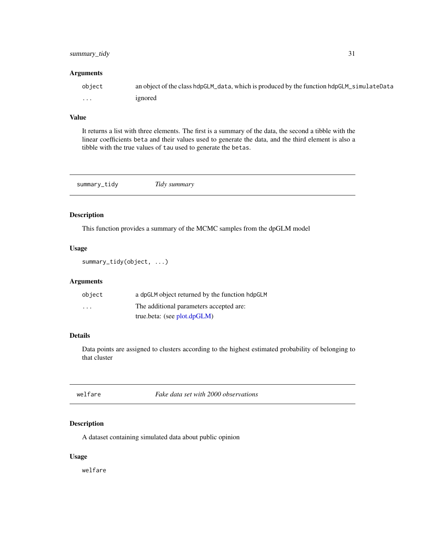#### <span id="page-30-0"></span>summary\_tidy 31

#### Arguments

| object | an object of the class hdpGLM_data, which is produced by the function hdpGLM_simulateData |
|--------|-------------------------------------------------------------------------------------------|
| .      | ignored                                                                                   |

#### Value

It returns a list with three elements. The first is a summary of the data, the second a tibble with the linear coefficients beta and their values used to generate the data, and the third element is also a tibble with the true values of tau used to generate the betas.

| summary_tidy | Tidy summary |  |  |
|--------------|--------------|--|--|
|--------------|--------------|--|--|

#### Description

This function provides a summary of the MCMC samples from the dpGLM model

#### Usage

summary\_tidy(object, ...)

#### Arguments

| object                  | a dpGLM object returned by the function hdpGLM |
|-------------------------|------------------------------------------------|
| $\cdot$ $\cdot$ $\cdot$ | The additional parameters accepted are:        |
|                         | true.beta: (see $plot.dpGLM$ )                 |

#### Details

Data points are assigned to clusters according to the highest estimated probability of belonging to that cluster

| welfare |  |
|---------|--|
|         |  |

Fake data set with 2000 observations

#### Description

A dataset containing simulated data about public opinion

#### Usage

welfare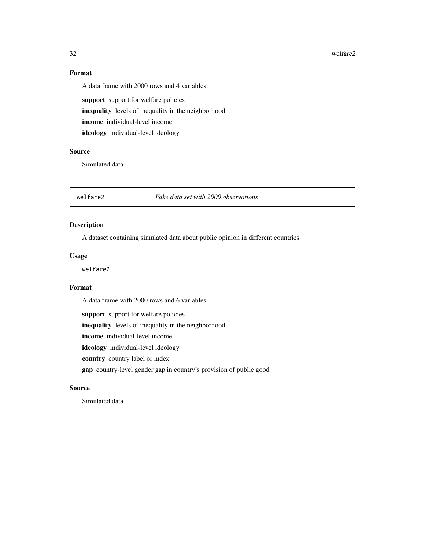#### 32 welfare2

### Format

A data frame with 2000 rows and 4 variables:

support support for welfare policies inequality levels of inequality in the neighborhood income individual-level income ideology individual-level ideology

#### Source

Simulated data

welfare2 *Fake data set with 2000 observations*

#### Description

A dataset containing simulated data about public opinion in different countries

#### Usage

welfare2

#### Format

A data frame with 2000 rows and 6 variables:

support support for welfare policies

inequality levels of inequality in the neighborhood

income individual-level income

ideology individual-level ideology

country country label or index

gap country-level gender gap in country's provision of public good

#### Source

Simulated data

<span id="page-31-0"></span>